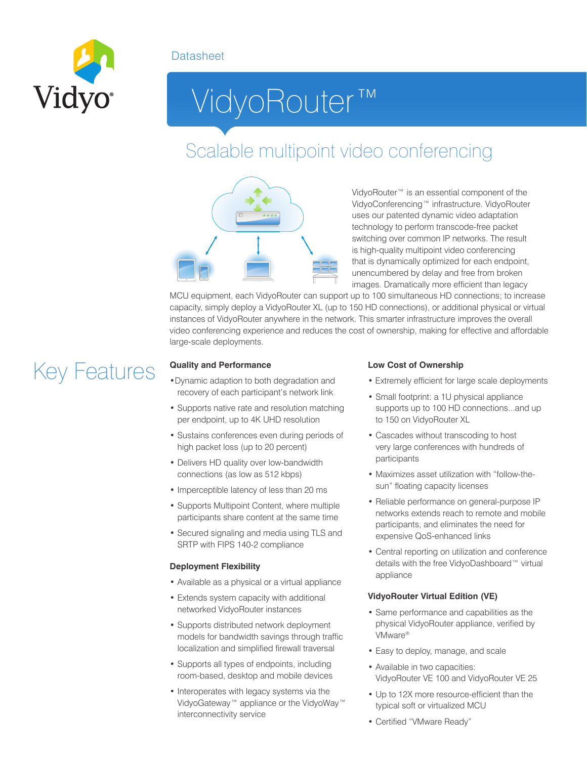### **Datasheet**



# VidyoRouter™

### Scalable multipoint video conferencing



VidyoRouter™ is an essential component of the VidyoConferencing™ infrastructure. VidyoRouter uses our patented dynamic video adaptation technology to perform transcode-free packet switching over common IP networks. The result is high-quality multipoint video conferencing that is dynamically optimized for each endpoint, unencumbered by delay and free from broken images. Dramatically more efficient than legacy

MCU equipment, each VidyoRouter can support up to 100 simultaneous HD connections; to increase capacity, simply deploy a VidyoRouter XL (up to 150 HD connections), or additional physical or virtual instances of VidyoRouter anywhere in the network. This smarter infrastructure improves the overall video conferencing experience and reduces the cost of ownership, making for effective and affordable large-scale deployments.

# Key Features

#### **Quality and Performance**

- •Dynamic adaption to both degradation and recovery of each participant's network link
- Supports native rate and resolution matching per endpoint, up to 4K UHD resolution
- Sustains conferences even during periods of high packet loss (up to 20 percent)
- Delivers HD quality over low-bandwidth connections (as low as 512 kbps)
- Imperceptible latency of less than 20 ms
- Supports Multipoint Content, where multiple participants share content at the same time
- Secured signaling and media using TLS and SRTP with FIPS 140-2 compliance

#### **Deployment Flexibility**

- Available as a physical or a virtual appliance
- Extends system capacity with additional networked VidyoRouter instances
- Supports distributed network deployment models for bandwidth savings through traffic localization and simplified firewall traversal
- Supports all types of endpoints, including room-based, desktop and mobile devices
- Interoperates with legacy systems via the VidyoGateway™ appliance or the VidyoWay™ interconnectivity service

#### **Low Cost of Ownership**

- Extremely efficient for large scale deployments
- Small footprint: a 1U physical appliance supports up to 100 HD connections...and up to 150 on VidyoRouter XL
- Cascades without transcoding to host very large conferences with hundreds of participants
- Maximizes asset utilization with "follow-thesun" floating capacity licenses
- Reliable performance on general-purpose IP networks extends reach to remote and mobile participants, and eliminates the need for expensive QoS-enhanced links
- Central reporting on utilization and conference details with the free VidyoDashboard™ virtual appliance

#### **VidyoRouter Virtual Edition (VE)**

- Same performance and capabilities as the physical VidyoRouter appliance, verified by VMware®
- Easy to deploy, manage, and scale
- Available in two capacities: VidyoRouter VE 100 and VidyoRouter VE 25
- Up to 12X more resource-efficient than the typical soft or virtualized MCU
- Certified "VMware Ready"